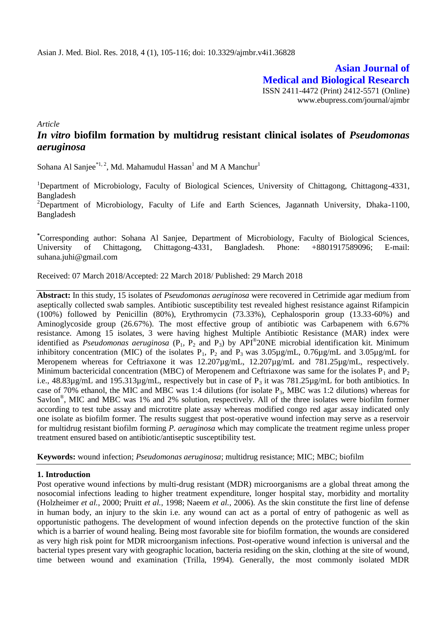**Asian Journal of Medical and Biological Research** ISSN 2411-4472 (Print) 2412-5571 (Online) www.ebupress.com/journal/ajmbr

*Article*

# *In vitro* **biofilm formation by multidrug resistant clinical isolates of** *Pseudomonas aeruginosa*

Sohana Al Sanjee $^{*1, 2}$ , Md. Mahamudul Hassan<sup>1</sup> and M A Manchur<sup>1</sup>

<sup>1</sup>Department of Microbiology, Faculty of Biological Sciences, University of Chittagong, Chittagong-4331, Bangladesh

<sup>2</sup>Department of Microbiology, Faculty of Life and Earth Sciences, Jagannath University, Dhaka-1100, Bangladesh

**\***Corresponding author: Sohana Al Sanjee, Department of Microbiology, Faculty of Biological Sciences, University of Chittagong, Chittagong-4331, Bangladesh. Phone: +8801917589096; E-mail: [suhana.juhi@gmail.com](mailto:suhana.juhi@gmail.com)

Received: 07 March 2018/Accepted: 22 March 2018/ Published: 29 March 2018

**Abstract:** In this study, 15 isolates of *Pseudomonas aeruginosa* were recovered in Cetrimide agar medium from aseptically collected swab samples. Antibiotic susceptibility test revealed highest resistance against Rifampicin (100%) followed by Penicillin (80%), Erythromycin (73.33%), Cephalosporin group (13.33-60%) and Aminoglycoside group (26.67%). The most effective group of antibiotic was Carbapenem with 6.67% resistance. Among 15 isolates, 3 were having highest Multiple Antibiotic Resistance (MAR) index were identified as *Pseudomonas aeruginosa* ( $P_1$ ,  $P_2$  and  $P_3$ ) by API<sup>®</sup>20NE microbial identification kit. Minimum inhibitory concentration (MIC) of the isolates  $P_1$ ,  $P_2$  and  $P_3$  was 3.05µg/mL, 0.76µg/mL and 3.05µg/mL for Meropenem whereas for Ceftriaxone it was 12.207µg/mL, 12.207µg/mL and 781.25µg/mL, respectively. Minimum bactericidal concentration (MBC) of Meropenem and Ceftriaxone was same for the isolates  $P_1$  and  $P_2$ i.e.,  $48.83\mu$ g/mL and  $195.313\mu$ g/mL, respectively but in case of P<sub>3</sub> it was  $781.25\mu$ g/mL for both antibiotics. In case of 70% ethanol, the MIC and MBC was 1:4 dilutions (for isolate  $P_3$ , MBC was 1:2 dilutions) whereas for Savlon<sup>®</sup>, MIC and MBC was 1% and 2% solution, respectively. All of the three isolates were biofilm former according to test tube assay and microtitre plate assay whereas modified congo red agar assay indicated only one isolate as biofilm former. The results suggest that post-operative wound infection may serve as a reservoir for multidrug resistant biofilm forming *P. aeruginosa* which may complicate the treatment regime unless proper treatment ensured based on antibiotic/antiseptic susceptibility test.

**Keywords:** wound infection; *Pseudomonas aeruginosa*; multidrug resistance; MIC; MBC; biofilm

## **1. Introduction**

Post operative wound infections by multi-drug resistant (MDR) microorganisms are a global threat among the nosocomial infections leading to higher treatment expenditure, longer hospital stay, morbidity and mortality (Holzheimer *et al.,* 2000; Pruitt *et al.,* 1998; Naeem *et al.,* 2006). As the skin constitute the first line of defense in human body, an injury to the skin i.e. any wound can act as a portal of entry of pathogenic as well as opportunistic pathogens. The development of wound infection depends on the protective function of the skin which is a barrier of wound healing. Being most favorable site for biofilm formation, the wounds are considered as very high risk point for MDR microorganism infections. Post-operative wound infection is universal and the bacterial types present vary with geographic location, bacteria residing on the skin, clothing at the site of wound, time between wound and examination (Trilla, 1994). Generally, the most commonly isolated MDR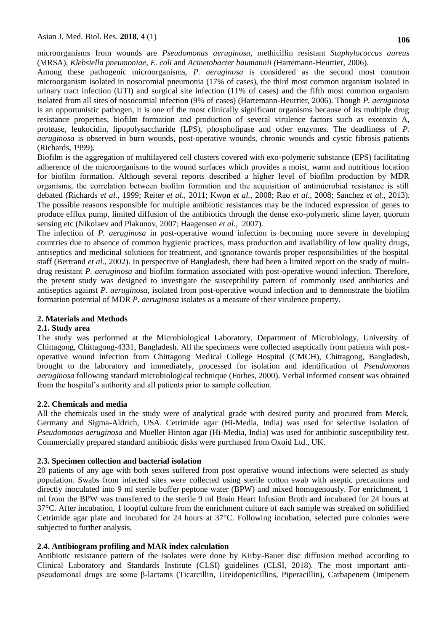microorganisms from wounds are *Pseudomonas aeruginosa*, methicillin resistant *Staphylococcus aureus* (MRSA), *Klebsiella pneumoniae*, *E. coli* and *Acinetobacter baumannii (*Hartemann-Heurtier, 2006).

Among these pathogenic microorganisms, *P. aeruginosa* is considered as the second most common microorganism isolated in nosocomial pneumonia (17% of cases), the third most common organism isolated in urinary tract infection (UTI) and surgical site infection (11% of cases) and the fifth most common organism isolated from all sites of nosocomial infection (9% of cases) (Hartemann-Heurtier, 2006). Though *P. aeruginosa* is an opportunistic pathogen, it is one of the most clinically significant organisms because of its multiple drug resistance properties, biofilm formation and production of several virulence factors such as exotoxin A, protease, leukocidin, lipopolysaccharide (LPS), phospholipase and other enzymes. The deadliness of *P. aeruginosa* is observed in burn wounds, post-operative wounds, chronic wounds and cystic fibrosis patients (Richards, 1999).

Biofilm is the aggregation of multilayered cell clusters covered with exo-polymeric substance (EPS) facilitating adherence of the microorganisms to the wound surfaces which provides a moist, warm and nutritious location for biofilm formation. Although several reports described a higher level of biofilm production by MDR organisms, the correlation between biofilm formation and the acquisition of antimicrobial resistance is still debated (Richards *et al.,* 1999; Reiter *et al.,* 2011; Kwon *et al.,* 2008; Rao *et al.,* 2008; Sanchez *et al.,* 2013). The possible reasons responsible for multiple antibiotic resistances may be the induced expression of genes to produce efflux pump, limited diffusion of the antibiotics through the dense exo-polymeric slime layer, quorum sensing etc (Nikolaev and Plakunov, 2007; Haagensen *et al.,* 2007).

The infection of *P. aeruginosa* in post-operative wound infection is becoming more severe in developing countries due to absence of common hygienic practices, mass production and availability of low quality drugs, antiseptics and medicinal solutions for treatment, and ignorance towards proper responsibilities of the hospital staff (Bertrand *et al.,* 2002). In perspective of Bangladesh, there had been a limited report on the study of multidrug resistant *P. aeruginosa* and biofilm formation associated with post-operative wound infection. Therefore, the present study was designed to investigate the susceptibility pattern of commonly used antibiotics and antiseptics against *P. aeruginosa,* isolated from post-operative wound infection and to demonstrate the biofilm formation potential of MDR *P. aeruginosa* isolates as a measure of their virulence property.

## **2. Materials and Methods**

## **2.1. Study area**

The study was performed at the Microbiological Laboratory, Department of Microbiology, University of Chittagong, Chittagong-4331, Bangladesh. All the specimens were collected aseptically from patients with postoperative wound infection from Chittagong Medical College Hospital (CMCH), Chittagong, Bangladesh, brought to the laboratory and immediately, processed for isolation and identification of *Pseudomonas aeruginosa* following standard microbiological technique (Forbes, 2000). Verbal informed consent was obtained from the hospital"s authority and all patients prior to sample collection.

## **2.2. Chemicals and media**

All the chemicals used in the study were of analytical grade with desired purity and procured from Merck, Germany and Sigma-Aldrich, USA. Cetrimide agar (Hi-Media, India) was used for selective isolation of *Pseudomonas aeruginosa* and Mueller Hinton agar (Hi-Media, India) was used for antibiotic susceptibility test*.* Commercially prepared standard antibiotic disks were purchased from Oxoid Ltd., UK.

## **2.3. Specimen collection and bacterial isolation**

20 patients of any age with both sexes suffered from post operative wound infections were selected as study population. Swabs from infected sites were collected using sterile cotton swab with aseptic precautions and directly inoculated into 9 ml sterile buffer peptone water (BPW) and mixed homogenously. For enrichment, 1 ml from the BPW was transferred to the sterile 9 ml Brain Heart Infusion Broth and incubated for 24 hours at 37°C. After incubation, 1 loopful culture from the enrichment culture of each sample was streaked on solidified Cetrimide agar plate and incubated for 24 hours at 37°C. Following incubation, selected pure colonies were subjected to further analysis.

# **2.4. Antibiogram profiling and MAR index calculation**

Antibiotic resistance pattern of the isolates were done by Kirby-Bauer disc diffusion method according to Clinical Laboratory and Standards Institute (CLSI) guidelines (CLSI, 2018). The most important antipseudomonal drugs are some β-lactams (Ticarcillin, Ureidopenicillins, Piperacillin), Carbapenem (Imipenem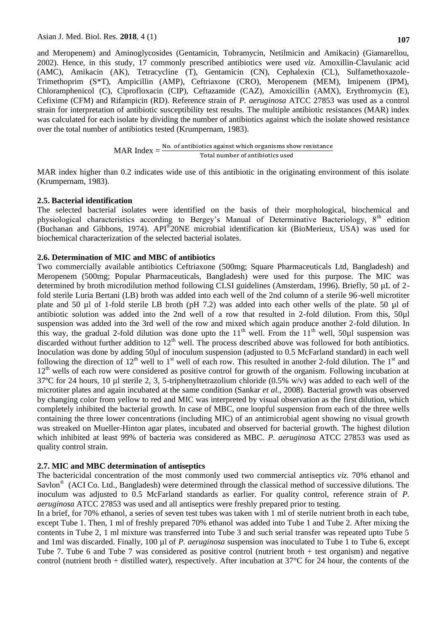and Meropenem) and Aminoglycosides (Gentamicin, Tobramycin, Netilmicin and Amikacin) (Giamarellou, 2002). Hence, in this study, 17 commonly prescribed antibiotics were used *viz.* Amoxillin-Clavulanic acid (AMC), Amikacin (AK), Tetracycline (T), Gentamicin (CN), Cephalexin (CL), Sulfamethoxazole-Trimethoprim (S\*T), Ampicillin (AMP), Ceftriaxone (CRO), Meropenem (MEM), Imipenem (IPM), Chloramphenicol (C), Ciprofloxacin (CIP), Ceftazamide (CAZ), Amoxicillin (AMX), Erythromycin (E), Cefixime (CFM) and Rifampicin (RD). Reference strain of *P. aeruginosa* ATCC 27853 was used as a control strain for interpretation of antibiotic susceptibility test results. The multiple antibiotic resistances (MAR) index was calculated for each isolate by dividing the number of antibiotics against which the isolate showed resistance over the total number of antibiotics tested (Krumpernam, 1983).

> MAR Index  $=$   $\frac{\text{No. of antibiotics against which organisms show resistance}}{}$ Total number of antibiotics used

MAR index higher than 0.2 indicates wide use of this antibiotic in the originating environment of this isolate (Krumpernam, 1983).

#### **2.5. Bacterial identification**

The selected bacterial isolates were identified on the basis of their morphological, biochemical and physiological characteristics according to Bergey's Manual of Determinative Bacteriology, 8<sup>th</sup> edition (Buchanan and Gibbons, 1974). API® 20NE microbial identification kit (BioMerieux, USA) was used for biochemical characterization of the selected bacterial isolates.

#### **2.6. Determination of MIC and MBC of antibiotics**

Two commercially available antibiotics Ceftriaxone (500mg; Square Pharmaceuticals Ltd, Bangladesh) and Meropenem (500mg; Popular Pharmaceuticals, Bangladesh) were used for this purpose. The MIC was determined by broth microdilution method following CLSI guidelines (Amsterdam, 1996). Briefly, 50 µL of 2 fold sterile Luria Bertani (LB) broth was added into each well of the 2nd column of a sterile 96-well microtiter plate and 50 µl of 1-fold sterile LB broth (pH 7.2) was added into each other wells of the plate. 50 µl of antibiotic solution was added into the 2nd well of a row that resulted in 2-fold dilution. From this, 50µl suspension was added into the 3rd well of the row and mixed which again produce another 2-fold dilution. In this way, the gradual 2-fold dilution was done upto the  $11<sup>th</sup>$  well. From the  $11<sup>th</sup>$  well, 50µl suspension was discarded without further addition to 12<sup>th</sup> well. The process described above was followed for both antibiotics. Inoculation was done by adding 50µl of inoculum suspension (adjusted to 0.5 McFarland standard) in each well following the direction of  $12<sup>th</sup>$  well to 1<sup>st</sup> well of each row. This resulted in another 2-fold dilution. The 1<sup>st</sup> and 12<sup>th</sup> wells of each row were considered as positive control for growth of the organism. Following incubation at 37ºC for 24 hours, 10 µl sterile 2, 3, 5-triphenyltetrazolium chloride (0.5% w/v) was added to each well of the microtiter plates and again incubated at the same condition (Sankar *et al.,* 2008). Bacterial growth was observed by changing color from yellow to red and MIC was interpreted by visual observation as the first dilution, which completely inhibited the bacterial growth. In case of MBC, one loopful suspension from each of the three wells containing the three lower concentrations (including MIC) of an antimicrobial agent showing no visual growth was streaked on Mueller-Hinton agar plates, incubated and observed for bacterial growth. The highest dilution which inhibited at least 99% of bacteria was considered as MBC. *P. aeruginosa* ATCC 27853 was used as quality control strain.

#### **2.7. MIC and MBC determination of antiseptics**

The bactericidal concentration of the most commonly used two commercial antiseptics *viz.* 70% ethanol and Savlon<sup>®</sup> (ACI Co. Ltd., Bangladesh) were determined through the classical method of successive dilutions. The inoculum was adjusted to 0.5 McFarland standards as earlier. For quality control, reference strain of *P. aeruginosa* ATCC 27853 was used and all antiseptics were freshly prepared prior to testing.

In a brief, for 70% ethanol, a series of seven test tubes was taken with 1 ml of sterile nutrient broth in each tube, except Tube 1. Then, 1 ml of freshly prepared 70% ethanol was added into Tube 1 and Tube 2. After mixing the contents in Tube 2, 1 ml mixture was transferred into Tube 3 and such serial transfer was repeated upto Tube 5 and 1ml was discarded. Finally, 100 µl of *P. aeruginosa* suspension was inoculated to Tube 1 to Tube 6, except Tube 7. Tube 6 and Tube 7 was considered as positive control (nutrient broth + test organism) and negative control (nutrient broth + distilled water), respectively. After incubation at 37°C for 24 hour, the contents of the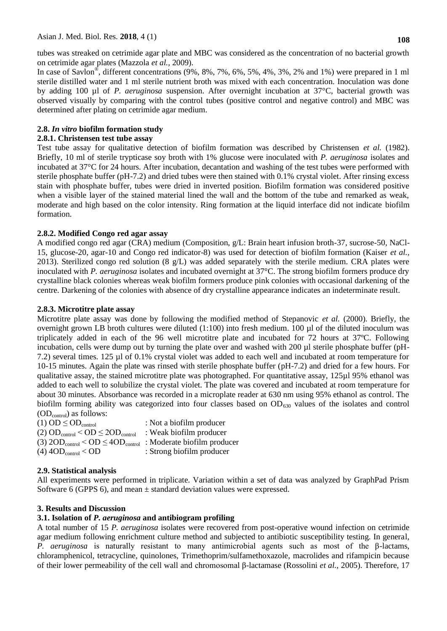tubes was streaked on cetrimide agar plate and MBC was considered as the concentration of no bacterial growth on cetrimide agar plates (Mazzola *et al.,* 2009).

In case of Savlon<sup>®</sup>, different concentrations (9%, 8%, 7%, 6%, 5%, 4%, 3%, 2% and 1%) were prepared in 1 ml sterile distilled water and 1 ml sterile nutrient broth was mixed with each concentration. Inoculation was done by adding 100 µl of *P. aeruginosa* suspension. After overnight incubation at 37°C, bacterial growth was observed visually by comparing with the control tubes (positive control and negative control) and MBC was determined after plating on cetrimide agar medium.

# **2.8.** *In vitro* **biofilm formation study**

## **2.8.1. Christensen test tube assay**

Test tube assay for qualitative detection of biofilm formation was described by Christensen *et al.* (1982). Briefly, 10 ml of sterile trypticase soy broth with 1% glucose were inoculated with *P. aeruginosa* isolates and incubated at 37°C for 24 hours. After incubation, decantation and washing of the test tubes were performed with sterile phosphate buffer (pH-7.2) and dried tubes were then stained with 0.1% crystal violet. After rinsing excess stain with phosphate buffer, tubes were dried in inverted position. Biofilm formation was considered positive when a visible layer of the stained material lined the wall and the bottom of the tube and remarked as weak, moderate and high based on the color intensity. Ring formation at the liquid interface did not indicate biofilm formation.

## **2.8.2. Modified Congo red agar assay**

A modified congo red agar (CRA) medium (Composition, g/L: Brain heart infusion broth-37, sucrose-50, NaCl-15, glucose-20, agar-10 and Congo red indicator-8) was used for detection of biofilm formation (Kaiser *et al.,* 2013). Sterilized congo red solution (8  $g/L$ ) was added separately with the sterile medium. CRA plates were inoculated with *P. aeruginosa* isolates and incubated overnight at 37°C. The strong biofilm formers produce dry crystalline black colonies whereas weak biofilm formers produce pink colonies with occasional darkening of the centre. Darkening of the colonies with absence of dry crystalline appearance indicates an indeterminate result.

## **2.8.3. Microtitre plate assay**

Microtitre plate assay was done by following the modified method of Stepanovic *et al.* (2000). Briefly, the overnight grown LB broth cultures were diluted (1:100) into fresh medium. 100 µl of the diluted inoculum was triplicately added in each of the 96 well microtitre plate and incubated for 72 hours at 37ºC. Following incubation, cells were dump out by turning the plate over and washed with 200 µl sterile phosphate buffer (pH-7.2) several times. 125 µl of 0.1% crystal violet was added to each well and incubated at room temperature for 10-15 minutes. Again the plate was rinsed with sterile phosphate buffer (pH-7.2) and dried for a few hours. For qualitative assay, the stained microtitre plate was photographed. For quantitative assay, 125µl 95% ethanol was added to each well to solubilize the crystal violet. The plate was covered and incubated at room temperature for about 30 minutes. Absorbance was recorded in a microplate reader at 630 nm using 95% ethanol as control. The biofilm forming ability was categorized into four classes based on  $OD_{630}$  values of the isolates and control (ODcontrol) as follows:

| (1) OD $\leq$ OD <sub>control</sub>                                    | : Not a biofilm producer  |
|------------------------------------------------------------------------|---------------------------|
| (2) $OD_{control} < OD \le 2OD_{control}$                              | : Weak biofilm producer   |
| (3) $2OD_{control} < OD \le 4OD_{control}$ : Moderate biofilm producer |                           |
| $(4)$ 40D <sub>control</sub> < 0D                                      | : Strong biofilm producer |

# **2.9. Statistical analysis**

All experiments were performed in triplicate. Variation within a set of data was analyzed by GraphPad Prism Software 6 (GPPS 6), and mean  $\pm$  standard deviation values were expressed.

## **3. Results and Discussion**

# **3.1. Isolation of** *P. aeruginosa* **and antibiogram profiling**

A total number of 15 *P. aeruginosa* isolates were recovered from post-operative wound infection on cetrimide agar medium following enrichment culture method and subjected to antibiotic susceptibility testing. In general, *P. aeruginosa* is naturally resistant to many antimicrobial agents such as most of the β-lactams, chloramphenicol, tetracycline, quinolones, Trimethoprim/sulfamethoxazole, macrolides and rifampicin because of their lower permeability of the cell wall and chromosomal β-lactamase (Rossolini *et al.,* 2005). Therefore, 17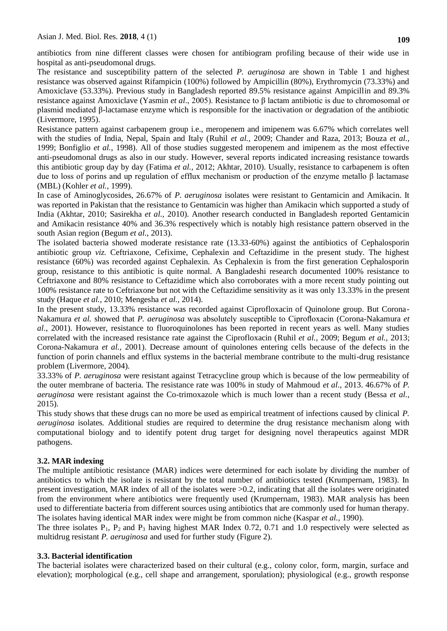antibiotics from nine different classes were chosen for antibiogram profiling because of their wide use in hospital as anti-pseudomonal drugs.

The resistance and susceptibility pattern of the selected *P. aeruginosa* are shown in Table 1 and highest resistance was observed against Rifampicin (100%) followed by Ampicillin (80%), Erythromycin (73.33%) and Amoxiclave (53.33%). Previous study in Bangladesh reported 89.5% resistance against Ampicillin and 89.3% resistance against Amoxiclave (Yasmin *et al*., 2005). Resistance to β lactam antibiotic is due to chromosomal or plasmid mediated β-lactamase enzyme which is responsible for the inactivation or degradation of the antibiotic (Livermore, 1995).

Resistance pattern against carbapenem group i.e., meropenem and imipenem was 6.67% which correlates well with the studies of India, Nepal, Spain and Italy (Ruhil *et al.,* 2009; Chander and Raza, 2013; Bouza *et al.,* 1999; Bonfiglio *et al.,* 1998). All of those studies suggested meropenem and imipenem as the most effective anti-pseudomonal drugs as also in our study. However, several reports indicated increasing resistance towards this antibiotic group day by day (Fatima *et al.,* 2012; Akhtar, 2010). Usually, resistance to carbapenem is often due to loss of porins and up regulation of efflux mechanism or production of the enzyme metallo β lactamase (MBL) (Kohler *et al.,* 1999).

In case of Aminoglycosides, 26.67% of *P. aeruginosa* isolates were resistant to Gentamicin and Amikacin. It was reported in Pakistan that the resistance to Gentamicin was higher than Amikacin which supported a study of India (Akhtar, 2010; Sasirekha *et al.,* 2010). Another research conducted in Bangladesh reported Gentamicin and Amikacin resistance 40% and 36.3% respectively which is notably high resistance pattern observed in the south Asian region (Begum *et al*., 2013).

The isolated bacteria showed moderate resistance rate (13.33-60%) against the antibiotics of Cephalosporin antibiotic group *viz.* Ceftriaxone, Cefixime, Cephalexin and Ceftazidime in the present study. The highest resistance (60%) was recorded against Cephalexin. As Cephalexin is from the first generation Cephalosporin group, resistance to this antibiotic is quite normal. A Bangladeshi research documented 100% resistance to Ceftriaxone and 80% resistance to Ceftazidime which also corroborates with a more recent study pointing out 100% resistance rate to Ceftriaxone but not with the Ceftazidime sensitivity as it was only 13.33% in the present study (Haque *et al.,* 2010; Mengesha *et al.,* 2014).

In the present study, 13.33% resistance was recorded against Ciprofloxacin of Quinolone group. But Corona-Nakamura *et al.* showed that *P. aeruginosa* was absolutely susceptible to Ciprofloxacin (Corona-Nakamura *et al*., 2001). However, resistance to fluoroquinolones has been reported in recent years as well. Many studies correlated with the increased resistance rate against the Ciprofloxacin (Ruhil *et al.,* 2009; Begum *et al.,* 2013; Corona-Nakamura *et al.,* 2001). Decrease amount of quinolones entering cells because of the defects in the function of porin channels and efflux systems in the bacterial membrane contribute to the multi-drug resistance problem (Livermore, 2004).

33.33% of *P. aeruginosa* were resistant against Tetracycline group which is because of the low permeability of the outer membrane of bacteria. The resistance rate was 100% in study of Mahmoud *et al*., 2013. 46.67% of *P. aeruginosa* were resistant against the Co-trimoxazole which is much lower than a recent study (Bessa *et al.,* 2015).

This study shows that these drugs can no more be used as empirical treatment of infections caused by clinical *P. aeruginosa* isolates*.* Additional studies are required to determine the drug resistance mechanism along with computational biology and to identify potent drug target for designing novel therapeutics against MDR pathogens.

## **3.2. MAR indexing**

The multiple antibiotic resistance (MAR) indices were determined for each isolate by dividing the number of antibiotics to which the isolate is resistant by the total number of antibiotics tested (Krumpernam, 1983). In present investigation, MAR index of all of the isolates were >0.2, indicating that all the isolates were originated from the environment where antibiotics were frequently used (Krumpernam, 1983). MAR analysis has been used to differentiate bacteria from different sources using antibiotics that are commonly used for human therapy. The isolates having identical MAR index were might be from common niche (Kaspar *et al.,* 1990).

The three isolates  $P_1$ ,  $P_2$  and  $P_3$  having highest MAR Index 0.72, 0.71 and 1.0 respectively were selected as multidrug resistant *P. aeruginosa* and used for further study (Figure 2).

## **3.3. Bacterial identification**

The bacterial isolates were characterized based on their cultural (e.g., colony color, form, margin, surface and elevation); morphological (e.g., cell shape and arrangement, sporulation); physiological (e.g., growth response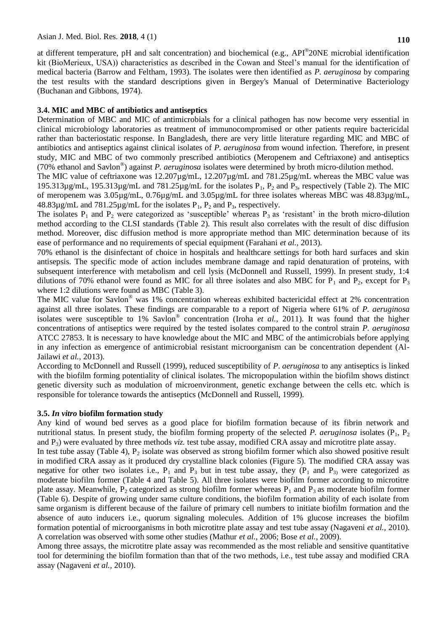at different temperature, pH and salt concentration) and biochemical (e.g., API®20NE microbial identification kit (BioMerieux, USA)) characteristics as described in the Cowan and Steel"s manual for the identification of medical bacteria (Barrow and Feltham, 1993). The isolates were then identified as *P. aeruginosa* by comparing the test results with the standard descriptions given in Bergey's Manual of Determinative Bacteriology (Buchanan and Gibbons, 1974).

#### **3.4. MIC and MBC of antibiotics and antiseptics**

Determination of MBC and MIC of antimicrobials for a clinical pathogen has now become very essential in clinical microbiology laboratories as treatment of immunocompromised or other patients require bactericidal rather than bacteriostatic response. In Bangladesh, there are very little literature regarding MIC and MBC of antibiotics and antiseptics against clinical isolates of *P. aeruginosa* from wound infection. Therefore, in present study, MIC and MBC of two commonly prescribed antibiotics (Meropenem and Ceftriaxone) and antiseptics (70% ethanol and Savlon® ) against *P. aeruginosa* isolates were determined by broth micro-dilution method.

The MIC value of ceftriaxone was 12.207µg/mL, 12.207µg/mL and 781.25µg/mL whereas the MBC value was 195.313 $\mu$ g/mL, 195.313 $\mu$ g/mL and 781.25 $\mu$ g/mL for the isolates P<sub>1</sub>, P<sub>2</sub> and P<sub>3</sub>, respectively (Table 2). The MIC of meropenem was 3.05µg/mL, 0.76µg/mL and 3.05µg/mL for three isolates whereas MBC was 48.83µg/mL,  $48.83\mu$ g/mL and  $781.25\mu$ g/mL for the isolates  $P_1$ ,  $P_2$  and  $P_3$ , respectively.

The isolates  $P_1$  and  $P_2$  were categorized as 'susceptible' whereas  $P_3$  as 'resistant' in the broth micro-dilution method according to the CLSI standards (Table 2). This result also correlates with the result of disc diffusion method. Moreover, disc diffusion method is more appropriate method than MIC determination because of its ease of performance and no requirements of special equipment (Farahani *et al.,* 2013).

70% ethanol is the disinfectant of choice in hospitals and healthcare settings for both hard surfaces and skin antisepsis. The specific mode of action includes membrane damage and rapid denaturation of proteins, with subsequent interference with metabolism and cell lysis (McDonnell and Russell, 1999). In present study, 1:4 dilutions of 70% ethanol were found as MIC for all three isolates and also MBC for  $P_1$  and  $P_2$ , except for  $P_3$ where 1:2 dilutions were found as MBC (Table 3).

The MIC value for Savlon® was 1% concentration whereas exhibited bactericidal effect at 2% concentration against all three isolates. These findings are comparable to a report of Nigeria where 61% of *P. aeruginosa* isolates were susceptible to 1% Savlon® concentration (Iroha *et al.,* 2011). It was found that the higher concentrations of antiseptics were required by the tested isolates compared to the control strain *P. aeruginosa* ATCC 27853. It is necessary to have knowledge about the MIC and MBC of the antimicrobials before applying in any infection as emergence of antimicrobial resistant microorganism can be concentration dependent (Al-Jailawi *et al.,* 2013).

According to McDonnell and Russell (1999), reduced susceptibility of *P*. *aeruginosa* to any antiseptics is linked with the biofilm forming potentiality of clinical isolates. The micropopulation within the biofilm shows distinct genetic diversity such as modulation of microenvironment, genetic exchange between the cells etc. which is responsible for tolerance towards the antiseptics (McDonnell and Russell, 1999).

#### **3.5.** *In vitro* **biofilm formation study**

Any kind of wound bed serves as a good place for biofilm formation because of its fibrin network and nutritional status. In present study, the biofilm forming property of the selected *P. aeruginosa* isolates  $(P_1, P_2)$ and P3) were evaluated by three methods *viz.* test tube assay, modified CRA assay and microtitre plate assay.

In test tube assay (Table 4),  $P_2$  isolate was observed as strong biofilm former which also showed positive result in modified CRA assay as it produced dry crystalline black colonies (Figure 5). The modified CRA assay was negative for other two isolates i.e.,  $P_1$  and  $P_3$  but in test tube assay, they ( $P_1$  and  $P_3$ ) were categorized as moderate biofilm former (Table 4 and Table 5). All three isolates were biofilm former according to microtitre plate assay. Meanwhile,  $P_2$  categorized as strong biofilm former whereas  $P_1$  and  $P_3$  as moderate biofilm former (Table 6). Despite of growing under same culture conditions, the biofilm formation ability of each isolate from same organism is different because of the failure of primary cell numbers to initiate biofilm formation and the absence of auto inducers i.e., quorum signaling molecules. Addition of 1% glucose increases the biofilm formation potential of microorganisms in both microtitre plate assay and test tube assay (Nagaveni *et al.,* 2010). A correlation was observed with some other studies (Mathur *et al.,* 2006; Bose *et al.,* 2009).

Among three assays, the microtitre plate assay was recommended as the most reliable and sensitive quantitative tool for determining the biofilm formation than that of the two methods, i.e., test tube assay and modified CRA assay (Nagaveni *et al.,* 2010).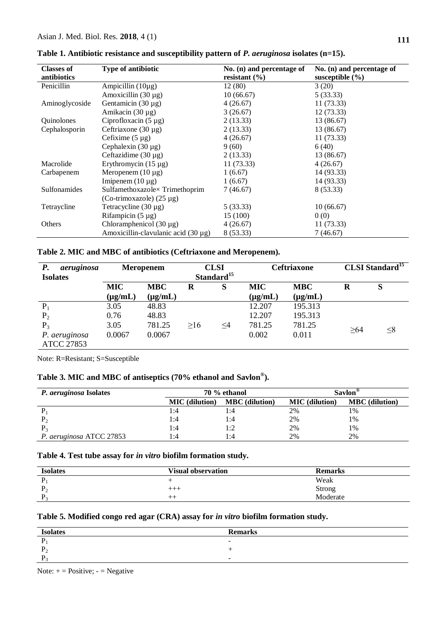| <b>Classes of</b><br>antibiotics | Type of antibiotic                       | No. (n) and percentage of<br>resistant $(\% )$ | No. (n) and percentage of<br>susceptible $(\% )$ |
|----------------------------------|------------------------------------------|------------------------------------------------|--------------------------------------------------|
| Penicillin                       | Ampicillin $(10\mu g)$                   | 12(80)                                         | 3(20)                                            |
|                                  | Amoxicillin $(30 \mu g)$                 | 10(66.67)                                      | 5(33.33)                                         |
| Aminoglycoside                   | Gentamicin $(30 \mu g)$                  | 4(26.67)                                       | 11(73.33)                                        |
|                                  | Amikacin $(30 \mu g)$                    | 3(26.67)                                       | 12(73.33)                                        |
| Quinolones                       | Ciprofloxacin $(5 \mu g)$                | 2(13.33)                                       | 13 (86.67)                                       |
| Cephalosporin                    | Ceftriaxone $(30 \mu g)$                 | 2(13.33)                                       | 13 (86.67)                                       |
|                                  | Cefixime $(5 \mu g)$                     | 4(26.67)                                       | 11(73.33)                                        |
|                                  | Cephalexin $(30 \mu g)$                  | 9(60)                                          | 6(40)                                            |
|                                  | Ceftazidime $(30 \mu g)$                 | 2(13.33)                                       | 13 (86.67)                                       |
| Macrolide                        | Erythromycin $(15 \mu g)$                | 11(73.33)                                      | 4(26.67)                                         |
| Carbapenem                       | Meropenem $(10 \mu g)$                   | 1(6.67)                                        | 14 (93.33)                                       |
|                                  | Imipenem $(10 \mu g)$                    | 1(6.67)                                        | 14 (93.33)                                       |
| Sulfonamides                     | Sulfamethoxazole× Trimethoprim           | 7(46.67)                                       | 8 (53.33)                                        |
|                                  | (Co-trimoxazole) $(25 \mu g)$            |                                                |                                                  |
| Tetraycline                      | Tetracycline $(30 \mu g)$                | 5(33.33)                                       | 10(66.67)                                        |
|                                  | Rifampicin $(5 \mu g)$                   | 15(100)                                        | 0(0)                                             |
| Others                           | Chloramphenicol $(30 \mu g)$             | 4(26.67)                                       | 11(73.33)                                        |
|                                  | Amoxicillin-clavulanic acid $(30 \mu g)$ | 8 (53.33)                                      | 7(46.67)                                         |

**Table 1. Antibiotic resistance and susceptibility pattern of** *P. aeruginosa* **isolates (n=15).**

**Table 2. MIC and MBC of antibiotics (Ceftriaxone and Meropenem).**

| <b>P.</b><br>aeruginosa<br><b>Isolates</b> |              | <b>Meropenem</b> | <b>CLSI</b><br>Standard <sup>15</sup> |          |              | <b>Ceftriaxone</b> |     | <b>CLSI</b> Standard <sup>15</sup> |
|--------------------------------------------|--------------|------------------|---------------------------------------|----------|--------------|--------------------|-----|------------------------------------|
|                                            | <b>MIC</b>   | <b>MBC</b>       | R                                     | S        | <b>MIC</b>   | <b>MBC</b>         | R   | S                                  |
|                                            | $(\mu g/mL)$ | $(\mu g/mL)$     |                                       |          | $(\mu g/mL)$ | $(\mu g/mL)$       |     |                                    |
| $P_1$                                      | 3.05         | 48.83            |                                       |          | 12.207       | 195.313            |     |                                    |
| P <sub>2</sub>                             | 0.76         | 48.83            |                                       |          | 12.207       | 195.313            |     |                                    |
| $P_3$                                      | 3.05         | 781.25           | >16                                   | $\leq 4$ | 781.25       | 781.25             | >64 | $\leq$ 8                           |
| P. aeruginosa                              | 0.0067       | 0.0067           |                                       |          | 0.002        | 0.011              |     |                                    |
| <b>ATCC 27853</b>                          |              |                  |                                       |          |              |                    |     |                                    |

Note: R=Resistant; S=Susceptible

# **Table 3. MIC and MBC of antiseptics (70% ethanol and Savlon® ).**

| P. aeruginosa Isolates   | 70 % ethanol          |                       | $Savlon^{\otimes}$    |                       |
|--------------------------|-----------------------|-----------------------|-----------------------|-----------------------|
|                          | <b>MIC</b> (dilution) | <b>MBC</b> (dilution) | <b>MIC</b> (dilution) | <b>MBC</b> (dilution) |
|                          | 1:4                   | l:4                   | 2%                    | 1%                    |
|                          | l :4                  | l:4                   | 2%                    | 1%                    |
|                          | l :4                  |                       | 2%                    | 1%                    |
| P. aeruginosa ATCC 27853 | l :4                  | l:4                   | 2%                    | 2%                    |

## **Table 4. Test tube assay for** *in vitro* **biofilm formation study.**

| <b>Isolates</b> | <b>Visual observation</b> | <b>Remarks</b> |
|-----------------|---------------------------|----------------|
|                 |                           | Weak           |
| $P_{\odot}$     | ----                      | Strong         |
| $\mathbf{P}_2$  | $- + -$                   | Moderate       |

# **Table 5. Modified congo red agar (CRA) assay for** *in vitro* **biofilm formation study.**

| <b>Isolates</b> | <b>Remarks</b>           |
|-----------------|--------------------------|
|                 | $\overline{\phantom{0}}$ |
| $P_{\odot}$     | $\overline{\phantom{0}}$ |
| $P_{\odot}$     | $\overline{\phantom{0}}$ |

Note:  $+$  = Positive;  $-$  = Negative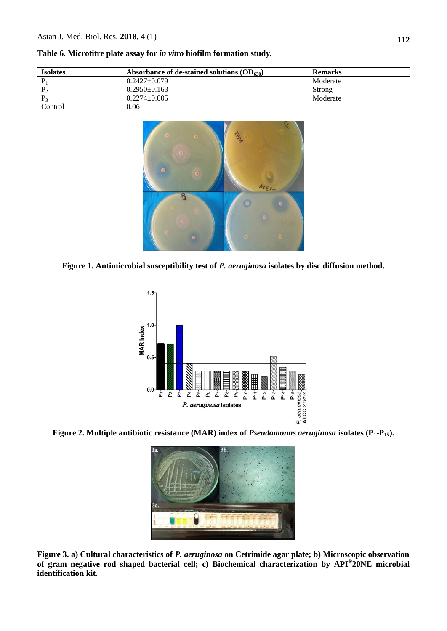| <b>Isolates</b> | Absorbance of de-stained solutions $OD_{630}$ | <b>Remarks</b> |
|-----------------|-----------------------------------------------|----------------|
|                 | $0.2427 \pm 0.079$                            | Moderate       |
| P <sub>2</sub>  | $0.2950 \pm 0.163$                            | Strong         |
|                 | $0.2274 \pm 0.005$                            | Moderate       |
| Control         | 0.06                                          |                |

**Table 6. Microtitre plate assay for** *in vitro* **biofilm formation study.**



**Figure 1. Antimicrobial susceptibility test of** *P. aeruginosa* **isolates by disc diffusion method.**



**Figure 2. Multiple antibiotic resistance (MAR) index of** *Pseudomonas aeruginosa* **isolates (P1-P15).**



**Figure 3. a) Cultural characteristics of** *P. aeruginosa* **on Cetrimide agar plate; b) Microscopic observation of gram negative rod shaped bacterial cell; c) Biochemical characterization by API® 20NE microbial identification kit.**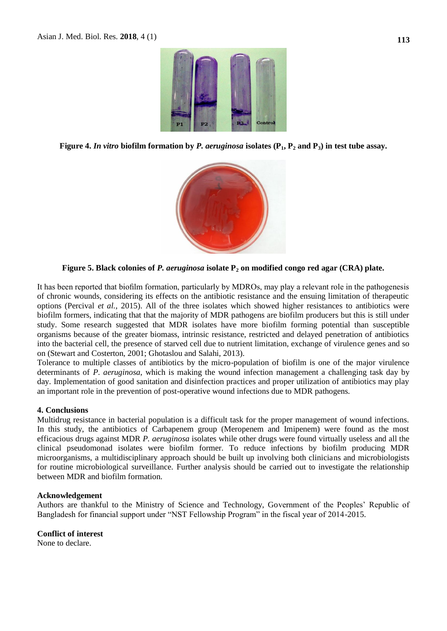

**Figure 4. In vitro biofilm formation by P. aeruginosa isolates**  $(P_1, P_2 \text{ and } P_3)$  **in test tube assay.** 



**Figure 5. Black colonies of** *P. aeruginosa* **isolate P<sup>2</sup> on modified congo red agar (CRA) plate.**

It has been reported that biofilm formation, particularly by MDROs, may play a relevant role in the pathogenesis of chronic wounds, considering its effects on the antibiotic resistance and the ensuing limitation of therapeutic options (Percival *et al.,* 2015). All of the three isolates which showed higher resistances to antibiotics were biofilm formers, indicating that that the majority of MDR pathogens are biofilm producers but this is still under study. Some research suggested that MDR isolates have more biofilm forming potential than susceptible organisms because of the greater biomass, intrinsic resistance, restricted and delayed penetration of antibiotics into the bacterial cell, the presence of starved cell due to nutrient limitation, exchange of virulence genes and so on (Stewart and Costerton, 2001; Ghotaslou and Salahi, 2013).

Tolerance to multiple classes of antibiotics by the micro-population of biofilm is one of the major virulence determinants of *P*. *aeruginosa*, which is making the wound infection management a challenging task day by day. Implementation of good sanitation and disinfection practices and proper utilization of antibiotics may play an important role in the prevention of post-operative wound infections due to MDR pathogens.

#### **4. Conclusions**

Multidrug resistance in bacterial population is a difficult task for the proper management of wound infections. In this study, the antibiotics of Carbapenem group (Meropenem and Imipenem) were found as the most efficacious drugs against MDR *P. aeruginosa* isolates while other drugs were found virtually useless and all the clinical pseudomonad isolates were biofilm former*.* To reduce infections by biofilm producing MDR microorganisms, a multidisciplinary approach should be built up involving both clinicians and microbiologists for routine microbiological surveillance. Further analysis should be carried out to investigate the relationship between MDR and biofilm formation.

#### **Acknowledgement**

Authors are thankful to the Ministry of Science and Technology, Government of the Peoples" Republic of Bangladesh for financial support under "NST Fellowship Program" in the fiscal year of 2014-2015.

## **Conflict of interest**

None to declare.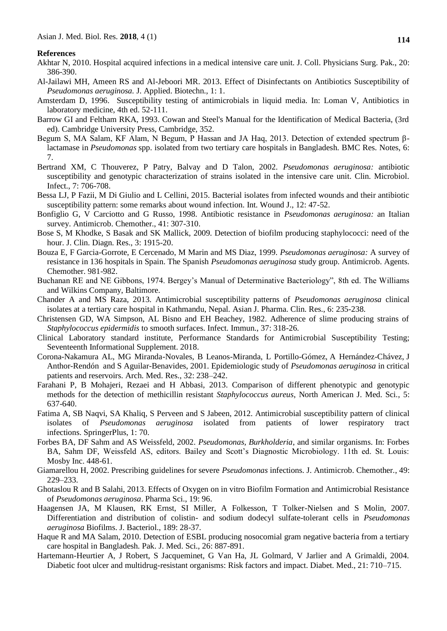#### **References**

- Akhtar N, 2010. Hospital acquired infections in a medical intensive care unit. J. Coll. Physicians Surg. Pak., 20: 386-390.
- Al-Jailawi MH, Ameen RS and Al-Jeboori MR. 2013. Effect of Disinfectants on Antibiotics Susceptibility of *Pseudomonas aeruginosa.* J. Applied. Biotechn., 1: 1.
- Amsterdam D, 1996. Susceptibility testing of antimicrobials in liquid media. In: Loman V, Antibiotics in laboratory medicine, 4th ed. 52-111.
- Barrow GI and Feltham RKA, 1993. Cowan and Steel's Manual for the Identification of Medical Bacteria, (3rd ed). Cambridge University Press, Cambridge, 352.
- Begum S, MA Salam, KF Alam, N Begum, P Hassan and JA Haq, 2013. Detection of extended spectrum βlactamase in *Pseudomonas* spp. isolated from two tertiary care hospitals in Bangladesh. BMC Res. Notes, 6: 7.
- Bertrand XM, C Thouverez, P Patry, Balvay and D Talon, 2002. *Pseudomonas aeruginosa:* antibiotic susceptibility and genotypic characterization of strains isolated in the intensive care unit. Clin. Microbiol. Infect., 7: 706-708.
- Bessa LJ, P Fazii, M Di Giulio and L Cellini, 2015. Bacterial isolates from infected wounds and their antibiotic susceptibility pattern: some remarks about wound infection. Int. Wound J., 12: 47-52.
- Bonfiglio G, V Carciotto and G Russo, 1998. Antibiotic resistance in *Pseudomonas aeruginosa:* an Italian survey. Antimicrob. Chemother., 41: 307-310.
- Bose S, M Khodke, S Basak and SK Mallick, 2009. Detection of biofilm producing staphylococci: need of the hour. J. Clin. Diagn. Res., 3: 1915-20.
- Bouza E, F Garcia-Gorrote, E Cercenado, M Marin and MS Diaz, 1999. *Pseudomonas aeruginosa:* A survey of resistance in 136 hospitals in Spain. The Spanish *Pseudomonas aeruginosa* study group. Antimicrob. Agents. Chemother. 981-982.
- Buchanan RE and NE Gibbons, 1974. Bergey"s Manual of Determinative Bacteriology", 8th ed. The Williams and Wilkins Company, Baltimore.
- Chander A and MS Raza, 2013. Antimicrobial susceptibility patterns of *Pseudomonas aeruginosa* clinical isolates at a tertiary care hospital in Kathmandu, Nepal. Asian J. Pharma. Clin. Res., 6: 235-238.
- Christensen GD, WA Simpson, AL Bisno and EH Beachey, 1982. Adherence of slime producing strains of *Staphylococcus epidermidis* to smooth surfaces. Infect. Immun., 37: 318-26.
- Clinical Laboratory standard institute, Performance Standards for Antimicrobial Susceptibility Testing; Seventeenth Informational Supplement. 2018.
- Corona-Nakamura AL, MG Miranda-Novales, B Leanos-Miranda, L [Portillo-Gómez,](https://www.ncbi.nlm.nih.gov/pubmed/?term=Portillo-G%C3%B3mez%20L%5BAuthor%5D&cauthor=true&cauthor_uid=11395191) A [Hernández-Chávez,](https://www.ncbi.nlm.nih.gov/pubmed/?term=Hern%C3%A1ndez-Ch%C3%A1vez%20A%5BAuthor%5D&cauthor=true&cauthor_uid=11395191) J [Anthor-Rendón](https://www.ncbi.nlm.nih.gov/pubmed/?term=Anthor-Rend%C3%B3n%20J%5BAuthor%5D&cauthor=true&cauthor_uid=11395191) and S [Aguilar-Benavides,](https://www.ncbi.nlm.nih.gov/pubmed/?term=Aguilar-Benavides%20S%5BAuthor%5D&cauthor=true&cauthor_uid=11395191) 2001. Epidemiologic study of *Pseudomonas aeruginosa* in critical patients and reservoirs. Arch. Med. Res., 32: 238–242.
- Farahani P, B Mohajeri, Rezaei and H Abbasi, 2013. Comparison of different phenotypic and genotypic methods for the detection of methicillin resistant *Staphylococcus aureus*, North American J. Med. Sci*.*, 5: 637-640.
- Fatima A, SB Naqvi, SA Khaliq, S Perveen and S Jabeen, 2012. Antimicrobial susceptibility pattern of clinical isolates of *Pseudomonas aeruginosa* isolated from patients of lower respiratory tract infections. SpringerPlus, 1: 70.
- Forbes BA, DF Sahm and AS Weissfeld, 2002. *Pseudomonas, Burkholderia*, and similar organisms. In: Forbes BA, Sahm DF, Weissfeld AS, editors. Bailey and Scott"s Diagnostic Microbiology. 11th ed. St. Louis: Mosby Inc. 448-61.
- Giamarellou H, 2002. Prescribing guidelines for severe *Pseudomonas* infections. J. Antimicrob. Chemother*.*, 49: 229–233.
- Ghotaslou R and B Salahi, 2013. Effects of Oxygen on in vitro Biofilm Formation and Antimicrobial Resistance of *Pseudomonas aeruginosa*. Pharma Sci., 19: 96.
- Haagensen JA, M Klausen, RK Ernst, SI Miller, A Folkesson, T Tolker-Nielsen and S Molin, 2007. Differentiation and distribution of colistin- and sodium dodecyl sulfate-tolerant cells in *Pseudomonas aeruginosa* Biofilms. J. Bacteriol., 189: 28-37.
- Haque R and MA Salam, 2010. Detection of ESBL producing nosocomial gram negative bacteria from a tertiary care hospital in Bangladesh. Pak. J. Med. Sci., 26: 887-891.
- Hartemann-Heurtier A, J Robert, S Jacqueminet, G Van Ha, JL Golmard, V Jarlier and A Grimaldi, 2004. Diabetic foot ulcer and multidrug-resistant organisms: Risk factors and impact. Diabet. Med., 21: 710–715.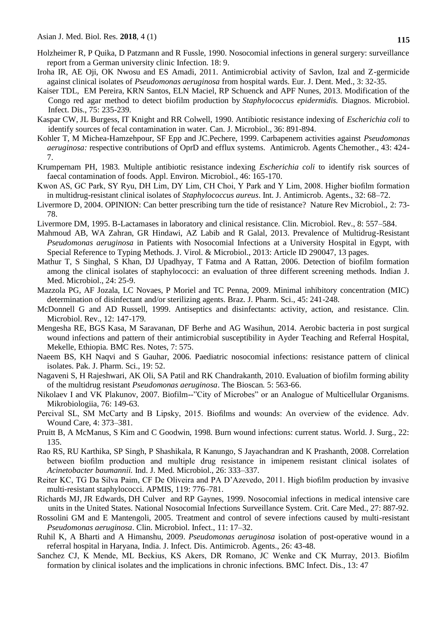- Holzheimer R, P Quika, D Patzmann and R Fussle, 1990. Nosocomial infections in general surgery: surveillance report from a German university clinic Infection. 18: 9.
- Iroha IR, AE Oji, OK Nwosu and ES Amadi, 2011. Antimicrobial activity of Savlon, Izal and Z-germicide against clinical isolates of *Pseudomonas aeruginosa* from hospital wards. Eur. J. Dent. Med., 3: 32-35.
- [Kaiser TDL,](https://www.sciencedirect.com/science/article/pii/S073288931200497X#!) EM [Pereira,](https://www.sciencedirect.com/science/article/pii/S073288931200497X#!) KRN [Santos,](https://www.sciencedirect.com/science/article/pii/S073288931200497X#!) ELN [Maciel,](https://www.sciencedirect.com/science/article/pii/S073288931200497X#!) RP [Schuenck](https://www.sciencedirect.com/science/article/pii/S073288931200497X#!) [and APF](https://www.sciencedirect.com/science/article/pii/S073288931200497X#!) Nunes, 2013. Modification of the Congo red agar method to detect biofilm production by *Staphylococcus epidermidis.* [Diagnos. Microbiol.](https://www.sciencedirect.com/science/journal/07328893)  [Infect. Dis.](https://www.sciencedirect.com/science/journal/07328893), 75: 235-239.
- [Kaspar CW,](http://www.ncbi.nlm.nih.gov/pubmed/?term=Kaspar%20CW%5BAuthor%5D&cauthor=true&cauthor_uid=2081335) JL [Burgess,](http://www.ncbi.nlm.nih.gov/pubmed/?term=Burgess%20JL%5BAuthor%5D&cauthor=true&cauthor_uid=2081335) IT [Knight](http://www.ncbi.nlm.nih.gov/pubmed/?term=Knight%20IT%5BAuthor%5D&cauthor=true&cauthor_uid=2081335) and RR [Colwell,](http://www.ncbi.nlm.nih.gov/pubmed/?term=Colwell%20RR%5BAuthor%5D&cauthor=true&cauthor_uid=2081335) 1990. Antibiotic resistance indexing of *Escherichia coli* to identify sources of fecal contamination in water. [Can. J. Microbiol.,](http://www.ncbi.nlm.nih.gov/pubmed/2081335) 36: 891-894.
- Kohler T, M Michea-Hamzehpour, SF Epp and JC.Pechere, 1999. Carbapenem activities against *Pseudomonas aeruginosa:* respective contributions of OprD and efflux systems. Antimicrob. Agents Chemother., 43: 424- 7.
- Krumpernam PH, 1983. Multiple antibiotic resistance indexing *Escherichia coli* to identify risk sources of faecal contamination of foods. Appl. Environ. Microbiol., 46: 165-170.
- Kwon AS, GC Park, SY Ryu, DH Lim, DY Lim, CH Choi, Y Park and Y Lim, 2008. Higher biofilm formation in multidrug-resistant clinical isolates of *Staphylococcus aureus*. Int. J. Antimicrob. Agents., 32: 68–72.
- Livermore D, 2004. OPINION: Can better prescribing turn the tide of resistance? Nature Rev Microbiol., 2: 73- 78.
- Livermore DM, 1995. B-Lactamases in laboratory and clinical resistance. Clin. Microbiol. Rev., 8: 557–584.
- Mahmoud AB, WA Zahran, GR Hindawi, AZ Labib and R Galal, 2013. Prevalence of Multidrug-Resistant *Pseudomonas aeruginosa* in Patients with Nosocomial Infections at a University Hospital in Egypt, with Special Reference to Typing Methods. J. Virol. & Microbiol., 2013: Article ID 290047, 13 pages.
- Mathur T, S Singhal, S Khan, DJ Upadhyay, T Fatma and A Rattan, 2006. Detection of biofilm formation among the clinical isolates of staphylococci: an evaluation of three different screening methods. Indian J. Med. Microbiol., 24: 25-9.
- Mazzola PG, AF Jozala, LC Novaes, P Moriel and TC Penna, 2009. Minimal inhibitory concentration (MIC) determination of disinfectant and/or sterilizing agents. Braz. J. Pharm. Sci., 45: 241-248.
- McDonnell G and AD Russell, 1999. Antiseptics and disinfectants: activity, action, and resistance. Clin. Microbiol. Rev., 12: 147-179.
- Mengesha RE, BGS Kasa, M Saravanan, DF Berhe and AG Wasihun, 2014. Aerobic bacteria in post surgical wound infections and pattern of their antimicrobial susceptibility in Ayder Teaching and Referral Hospital, Mekelle, Ethiopia. BMC Res. Notes, 7: 575.
- Naeem BS, KH Naqvi and S Gauhar, 2006. Paediatric nosocomial infections: resistance pattern of clinical isolates. Pak. J. Pharm. Sci., 19: 52.
- Nagaveni S, H Rajeshwari, AK Oli, SA Patil and RK Chandrakanth, 2010. Evaluation of biofilm forming ability of the multidrug resistant *Pseudomonas aeruginosa*. The Bioscan*.* 5: 563-66.
- Nikolaev I and VK Plakunov, 2007. Biofilm--"City of Microbes" or an Analogue of Multicellular Organisms. Mikrobiologiia, 76: 149-63.
- Percival SL, SM McCarty and B Lipsky, 2015. Biofilms and wounds: An overview of the evidence. Adv. Wound Care, 4: 373–381.
- Pruitt B, A McManus, S Kim and C Goodwin, 1998. Burn wound infections: current status. World. J. Surg., 22: 135.
- Rao RS, RU Karthika, SP Singh, P Shashikala, R Kanungo, S Jayachandran and K Prashanth, 2008. Correlation between biofilm production and multiple drug resistance in imipenem resistant clinical isolates of *Acinetobacter baumannii.* Ind. J. Med. Microbiol., 26: 333–337.
- Reiter KC, TG Da Silva Paim, CF De Oliveira and PA D"Azevedo, 2011. High biofilm production by invasive multi-resistant staphylococci. APMIS, 119: 776–781.
- [Richards MJ,](https://www.ncbi.nlm.nih.gov/pubmed/?term=Richards%20MJ%5BAuthor%5D&cauthor=true&cauthor_uid=10362409) JR [Edwards,](https://www.ncbi.nlm.nih.gov/pubmed/?term=Edwards%20JR%5BAuthor%5D&cauthor=true&cauthor_uid=10362409) DH [Culver](https://www.ncbi.nlm.nih.gov/pubmed/?term=Culver%20DH%5BAuthor%5D&cauthor=true&cauthor_uid=10362409) and RP [Gaynes,](https://www.ncbi.nlm.nih.gov/pubmed/?term=Gaynes%20RP%5BAuthor%5D&cauthor=true&cauthor_uid=10362409) 1999. Nosocomial infections in medical intensive care units in the United States. National Nosocomial Infections Surveillance System. [Crit. Care Med.,](https://www.ncbi.nlm.nih.gov/pubmed/10362409) 27: 887-92.
- Rossolini GM and E Mantengoli, 2005. Treatment and control of severe infections caused by multi-resistant *Pseudomonas aeruginosa*. Clin. Microbiol. Infect., 11: 17–32.
- Ruhil K, A Bharti and A Himanshu, 2009. *Pseudomonas aeruginosa* isolation of post-operative wound in a referral hospital in Haryana, India. J. Infect. Dis. Antimicrob. Agents., 26: 43-48.
- Sanchez CJ, K Mende, ML Beckius, KS Akers, DR Romano, JC Wenke and CK Murray, 2013. Biofilm formation by clinical isolates and the implications in chronic infections. BMC Infect. Dis., 13: 47